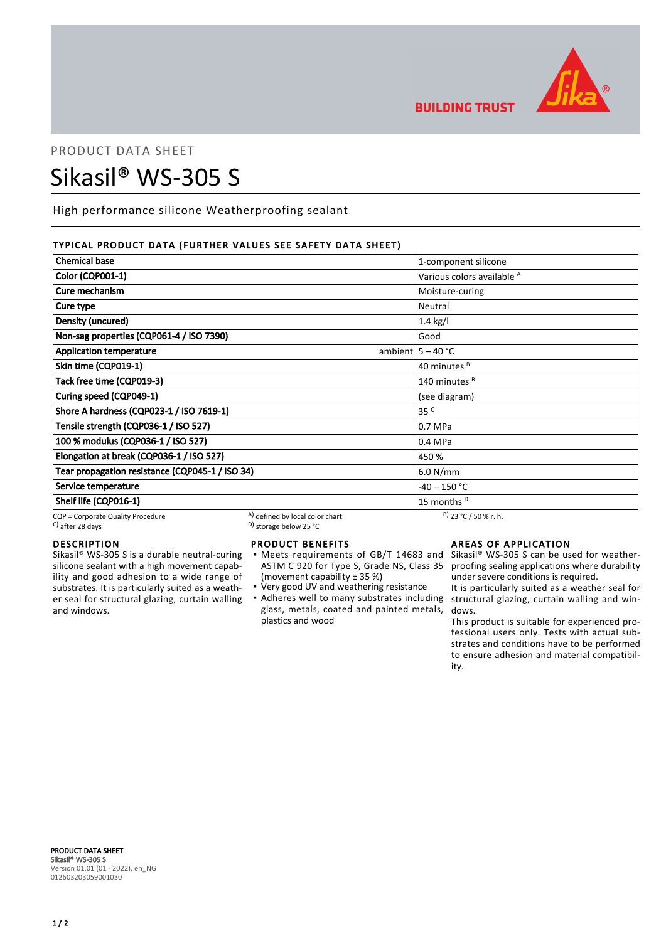

**BUILDING TRUST** 

# PRODUCT DATA SHEET Sikasil® WS-305 S

High performance silicone Weatherproofing sealant

# TYPICAL PRODUCT DATA (FURTHER VALUES SEE SAFETY DATA SHEET)

| <b>Chemical base</b>                            |                                 | 1-component silicone                  |
|-------------------------------------------------|---------------------------------|---------------------------------------|
| <b>Color (CQP001-1)</b>                         |                                 | Various colors available <sup>A</sup> |
| Cure mechanism                                  |                                 | Moisture-curing                       |
| Cure type                                       |                                 | Neutral                               |
| Density (uncured)                               |                                 | $1.4$ kg/l                            |
| Non-sag properties (CQP061-4 / ISO 7390)        |                                 | Good                                  |
| <b>Application temperature</b>                  |                                 | ambient $5 - 40$ °C                   |
| Skin time (CQP019-1)                            |                                 | 40 minutes <sup>B</sup>               |
| Tack free time (CQP019-3)                       |                                 | 140 minutes <sup>B</sup>              |
| Curing speed (CQP049-1)                         |                                 | (see diagram)                         |
| Shore A hardness (CQP023-1 / ISO 7619-1)        |                                 | 35 <sup>C</sup>                       |
| Tensile strength (CQP036-1 / ISO 527)           |                                 | 0.7 MPa                               |
| 100 % modulus (CQP036-1 / ISO 527)              |                                 | 0.4 MPa                               |
| Elongation at break (CQP036-1 / ISO 527)        |                                 | 450 %                                 |
| Tear propagation resistance (CQP045-1 / ISO 34) |                                 | 6.0 N/mm                              |
| Service temperature                             |                                 | -40 – 150 °C                          |
| Shelf life (CQP016-1)                           |                                 | 15 months <sup>D</sup>                |
| CQP = Corporate Quality Procedure               | A) defined by local color chart | $B)$ 23 °C / 50 % r. h.               |

 $\sim$  D) storage below 25 °C

# DESCRIPTION

Sikasil® WS-305 S is a durable neutral-curing silicone sealant with a high movement capability and good adhesion to a wide range of substrates. It is particularly suited as a weather seal for structural glazing, curtain walling and windows.

# PRODUCT BENEFITS

- Meets requirements of GB/T 14683 and Sikasil® WS-305 S can be used for weather-ASTM C 920 for Type S, Grade NS, Class 35 (movement capability ± 35 %) ▪
- Very good UV and weathering resistance
- Adheres well to many substrates including structural glazing, curtain walling and winglass, metals, coated and painted metals, plastics and wood

# AREAS OF APPLICATION

proofing sealing applications where durability under severe conditions is required.

It is particularly suited as a weather seal for dows.

This product is suitable for experienced professional users only. Tests with actual substrates and conditions have to be performed to ensure adhesion and material compatibility.

PRODUCT DATA SHEET Sikasil® WS-305 S Version 01.01 (01 - 2022), en\_NG 012603203059001030